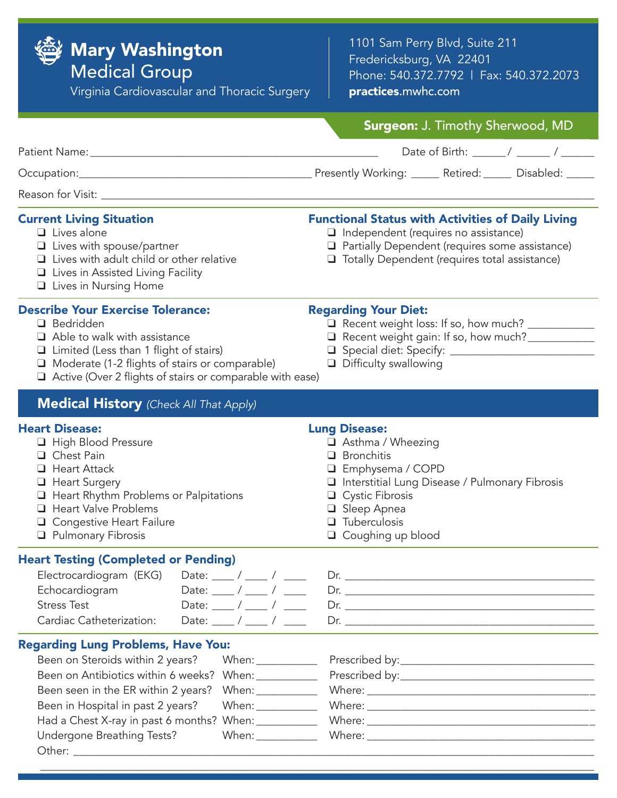

## Mary Washington

Medical Group

Virginia Cardiovascular and Thoracic Surgery

1101 Sam Perry Blvd, Suite 211 Fredericksburg, VA 22401 Phone: 540.372.7792 | Fax: 540.372.2073 practices.mwhc.com

| <b>Surgeon: J. Timothy Sherwood, MD</b>                                                                                                                                                                                         |
|---------------------------------------------------------------------------------------------------------------------------------------------------------------------------------------------------------------------------------|
|                                                                                                                                                                                                                                 |
| Presently Working: _____ Retired: _____ Disabled: _____                                                                                                                                                                         |
|                                                                                                                                                                                                                                 |
| <b>Functional Status with Activities of Daily Living</b><br>$\Box$ Independent (requires no assistance)<br>Partially Dependent (requires some assistance)<br>□ Totally Dependent (requires total assistance)                    |
| <b>Regarding Your Diet:</b><br>Recent weight loss: If so, how much? ___________<br>Recent weight gain: If so, how much?<br>$\Box$ Difficulty swallowing<br>$\Box$ Active (Over 2 flights of stairs or comparable with ease)     |
|                                                                                                                                                                                                                                 |
| <b>Lung Disease:</b><br>Asthma / Wheezing<br>$\Box$ Bronchitis<br>□ Emphysema / COPD<br>Interstitial Lung Disease / Pulmonary Fibrosis<br>$\Box$ Cystic Fibrosis<br>□ Sleep Apnea<br>$\Box$ Tuberculosis<br>□ Coughing up blood |
| Date: $\frac{1}{\sqrt{2}}$<br>Date: ____ / ____ / ____<br>Date: $\frac{1}{\sqrt{2}}$ / $\frac{1}{\sqrt{2}}$                                                                                                                     |
| Been on Antibiotics within 6 weeks? When: __________<br>When: ____________<br>When: __________<br>Had a Chest X-ray in past 6 months? When: ___________<br>When: $\frac{1}{2}$ When:                                            |
|                                                                                                                                                                                                                                 |

Other: \_\_\_\_\_\_\_\_\_\_\_\_\_\_\_\_\_\_\_\_\_\_\_\_\_\_\_\_\_\_\_\_\_\_\_\_\_\_\_\_\_\_\_\_\_\_\_\_\_\_\_\_\_\_\_\_\_\_\_\_\_\_\_\_\_\_\_\_\_\_\_\_\_\_\_\_\_\_\_\_\_\_\_\_\_\_\_\_\_\_\_\_\_\_ \_\_\_\_\_\_\_\_\_\_\_\_\_\_\_\_\_\_\_\_\_\_\_\_\_\_\_\_\_\_\_\_\_\_\_\_\_\_\_\_\_\_\_\_\_\_\_\_\_\_\_\_\_\_\_\_\_\_\_\_\_\_\_\_\_\_\_\_\_\_\_\_\_\_\_\_\_\_\_\_\_\_\_\_\_\_\_\_\_\_\_\_\_\_\_\_\_\_\_\_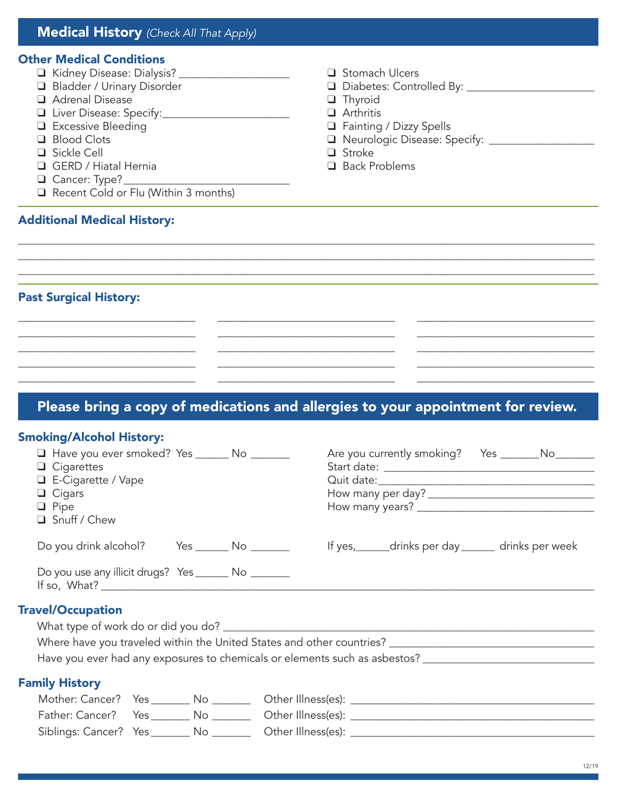### Medical History *(Check All That Apply)*

#### Other Medical Conditions

q Kidney Disease: Dialysis? \_\_\_\_\_\_\_\_\_\_\_\_\_\_\_\_\_\_\_\_ q Stomach Ulcers □ Bladder / Urinary Disorder and Diabetes: Controlled By: \_\_\_\_\_\_\_\_\_\_\_\_\_\_\_\_\_\_\_\_\_ **Q** Adrenal Disease **Q** Thyroid q Liver Disease: Specify:\_\_\_\_\_\_\_\_\_\_\_\_\_\_\_\_\_\_\_\_\_\_\_ q Arthritis **Q** Excessive Bleeding **Q** Fainting / Dizzy Spells **Q** Blood Clots **quare Cloum Cloum Cloum Cloum Cloum Cloum Cloum Cloum Cloum Cloum Cloum Cloum Cloum Cloum Cloum Cloum Cloum Cloum Cloum Cloum Cloum Cloum Cloum Cloum Cloum Cloum Cloum Cloum Cloum Cloum Cloum Cloum Cloum C**  $\Box$  Sickle Cell  $\Box$  Stroke **Q** GERD / Hiatal Hernia **q** Back Problems  $\Box$  Cancer: Type?  $\Box$  Recent Cold or Flu (Within 3 months) Additional Medical History: \_\_\_\_\_\_\_\_\_\_\_\_\_\_\_\_\_\_\_\_\_\_\_\_\_\_\_\_\_\_\_\_\_\_\_\_\_\_\_\_\_\_\_\_\_\_\_\_\_\_\_\_\_\_\_\_\_\_\_\_\_\_\_\_\_\_\_\_\_\_\_\_\_\_\_\_\_\_\_\_\_\_\_\_\_\_\_\_\_\_\_\_\_\_\_\_\_\_\_\_\_\_\_\_

\_\_\_\_\_\_\_\_\_\_\_\_\_\_\_\_\_\_\_\_\_\_\_\_\_\_\_\_\_\_\_\_\_\_\_\_\_\_\_\_\_\_\_\_\_\_\_\_\_\_\_\_\_\_\_\_\_\_\_\_\_\_\_\_\_\_\_\_\_\_\_\_\_\_\_\_\_\_\_\_\_\_\_\_\_\_\_\_\_\_\_\_\_\_\_\_\_\_\_\_\_\_\_\_ \_\_\_\_\_\_\_\_\_\_\_\_\_\_\_\_\_\_\_\_\_\_\_\_\_\_\_\_\_\_\_\_\_\_\_\_\_\_\_\_\_\_\_\_\_\_\_\_\_\_\_\_\_\_\_\_\_\_\_\_\_\_\_\_\_\_\_\_\_\_\_\_\_\_\_\_\_\_\_\_\_\_\_\_\_\_\_\_\_\_\_\_\_\_\_\_\_\_\_\_\_\_\_\_

\_\_\_\_\_\_\_\_\_\_\_\_\_\_\_\_\_\_\_\_\_\_\_\_\_\_\_\_\_\_\_\_ \_\_\_\_\_\_\_\_\_\_\_\_\_\_\_\_\_\_\_\_\_\_\_\_\_\_\_\_\_\_\_\_ \_\_\_\_\_\_\_\_\_\_\_\_\_\_\_\_\_\_\_\_\_\_\_\_\_\_\_\_\_\_\_\_ \_\_\_\_\_\_\_\_\_\_\_\_\_\_\_\_\_\_\_\_\_\_\_\_\_\_\_\_\_\_\_\_ \_\_\_\_\_\_\_\_\_\_\_\_\_\_\_\_\_\_\_\_\_\_\_\_\_\_\_\_\_\_\_\_ \_\_\_\_\_\_\_\_\_\_\_\_\_\_\_\_\_\_\_\_\_\_\_\_\_\_\_\_\_\_\_\_ \_\_\_\_\_\_\_\_\_\_\_\_\_\_\_\_\_\_\_\_\_\_\_\_\_\_\_\_\_\_\_\_ \_\_\_\_\_\_\_\_\_\_\_\_\_\_\_\_\_\_\_\_\_\_\_\_\_\_\_\_\_\_\_\_ \_\_\_\_\_\_\_\_\_\_\_\_\_\_\_\_\_\_\_\_\_\_\_\_\_\_\_\_\_\_\_\_ \_\_\_\_\_\_\_\_\_\_\_\_\_\_\_\_\_\_\_\_\_\_\_\_\_\_\_\_\_\_\_\_ \_\_\_\_\_\_\_\_\_\_\_\_\_\_\_\_\_\_\_\_\_\_\_\_\_\_\_\_\_\_\_\_ \_\_\_\_\_\_\_\_\_\_\_\_\_\_\_\_\_\_\_\_\_\_\_\_\_\_\_\_\_\_\_\_ \_\_\_\_\_\_\_\_\_\_\_\_\_\_\_\_\_\_\_\_\_\_\_\_\_\_\_\_\_\_\_\_ \_\_\_\_\_\_\_\_\_\_\_\_\_\_\_\_\_\_\_\_\_\_\_\_\_\_\_\_\_\_\_\_ \_\_\_\_\_\_\_\_\_\_\_\_\_\_\_\_\_\_\_\_\_\_\_\_\_\_\_\_\_\_\_\_

#### Past Surgical History:

## Please bring a copy of medications and allergies to your appointment for review.

#### Smoking/Alcohol History:

| □ Have you ever smoked? Yes ________ No ________<br>$\Box$ Cigarettes<br>$\Box$ E-Cigarette / Vape<br>$\Box$ Cigars<br>$\Box$ Pipe<br>Snuff / Chew |                                                                                                      |
|----------------------------------------------------------------------------------------------------------------------------------------------------|------------------------------------------------------------------------------------------------------|
| Do you drink alcohol? Yes _______ No _______                                                                                                       | If yes,_______drinks per day_______ drinks per week                                                  |
| Do you use any illicit drugs? Yes _______ No _______                                                                                               |                                                                                                      |
| <b>Travel/Occupation</b>                                                                                                                           |                                                                                                      |
|                                                                                                                                                    | Where have you traveled within the United States and other countries? ______________________________ |
|                                                                                                                                                    | Have you ever had any exposures to chemicals or elements such as asbestos? _________________________ |
| <b>Family History</b>                                                                                                                              |                                                                                                      |
|                                                                                                                                                    |                                                                                                      |
|                                                                                                                                                    |                                                                                                      |
|                                                                                                                                                    |                                                                                                      |